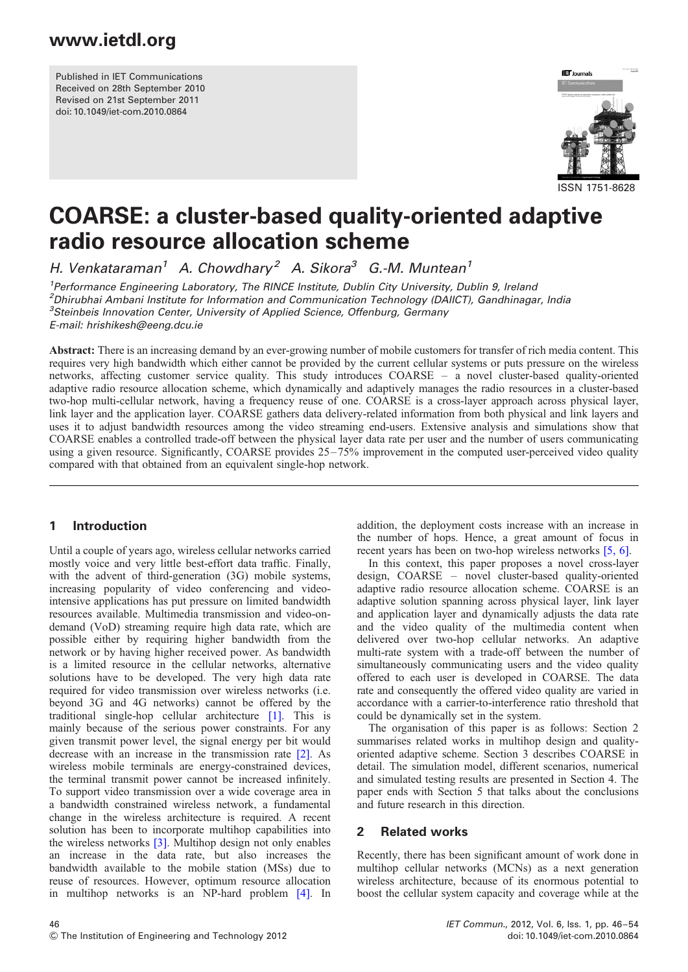Published in IET Communications Received on 28th September 2010 Revised on 21st September 2011 doi: 10.1049/iet-com.2010.0864



# COARSE: a cluster-based quality-oriented adaptive radio resource allocation scheme

H. Venkataraman<sup>1</sup> A. Chowdhary<sup>2</sup> A. Sikora<sup>3</sup> G.-M. Muntean<sup>1</sup>

<sup>1</sup> Performance Engineering Laboratory, The RINCE Institute, Dublin City University, Dublin 9, Ireland <sup>2</sup>Dhirubhai Ambani Institute for Information and Communication Technology (DAIICT), Gandhinagar, India <sup>3</sup>Steinbeis Innovation Center, University of Applied Science, Offenburg, Germany E-mail: hrishikesh@eeng.dcu.ie

Abstract: There is an increasing demand by an ever-growing number of mobile customers for transfer of rich media content. This requires very high bandwidth which either cannot be provided by the current cellular systems or puts pressure on the wireless networks, affecting customer service quality. This study introduces COARSE – a novel cluster-based quality-oriented adaptive radio resource allocation scheme, which dynamically and adaptively manages the radio resources in a cluster-based two-hop multi-cellular network, having a frequency reuse of one. COARSE is a cross-layer approach across physical layer, link layer and the application layer. COARSE gathers data delivery-related information from both physical and link layers and uses it to adjust bandwidth resources among the video streaming end-users. Extensive analysis and simulations show that COARSE enables a controlled trade-off between the physical layer data rate per user and the number of users communicating using a given resource. Significantly, COARSE provides 25–75% improvement in the computed user-perceived video quality compared with that obtained from an equivalent single-hop network.

### 1 Introduction

Until a couple of years ago, wireless cellular networks carried mostly voice and very little best-effort data traffic. Finally, with the advent of third-generation (3G) mobile systems, increasing popularity of video conferencing and videointensive applications has put pressure on limited bandwidth resources available. Multimedia transmission and video-ondemand (VoD) streaming require high data rate, which are possible either by requiring higher bandwidth from the network or by having higher received power. As bandwidth is a limited resource in the cellular networks, alternative solutions have to be developed. The very high data rate required for video transmission over wireless networks (i.e. beyond 3G and 4G networks) cannot be offered by the traditional single-hop cellular architecture [1]. This is mainly because of the serious power constraints. For any given transmit power level, the signal energy per bit would decrease with an increase in the transmission rate [2]. As wireless mobile terminals are energy-constrained devices, the terminal transmit power cannot be increased infinitely. To support video transmission over a wide coverage area in a bandwidth constrained wireless network, a fundamental change in the wireless architecture is required. A recent solution has been to incorporate multihop capabilities into the wireless networks [3]. Multihop design not only enables an increase in the data rate, but also increases the bandwidth available to the mobile station (MSs) due to reuse of resources. However, optimum resource allocation in multihop networks is an NP-hard problem [4]. In addition, the deployment costs increase with an increase in the number of hops. Hence, a great amount of focus in recent years has been on two-hop wireless networks [5, 6].

In this context, this paper proposes a novel cross-layer design, COARSE – novel cluster-based quality-oriented adaptive radio resource allocation scheme. COARSE is an adaptive solution spanning across physical layer, link layer and application layer and dynamically adjusts the data rate and the video quality of the multimedia content when delivered over two-hop cellular networks. An adaptive multi-rate system with a trade-off between the number of simultaneously communicating users and the video quality offered to each user is developed in COARSE. The data rate and consequently the offered video quality are varied in accordance with a carrier-to-interference ratio threshold that could be dynamically set in the system.

The organisation of this paper is as follows: Section 2 summarises related works in multihop design and qualityoriented adaptive scheme. Section 3 describes COARSE in detail. The simulation model, different scenarios, numerical and simulated testing results are presented in Section 4. The paper ends with Section 5 that talks about the conclusions and future research in this direction.

### 2 Related works

Recently, there has been significant amount of work done in multihop cellular networks (MCNs) as a next generation wireless architecture, because of its enormous potential to boost the cellular system capacity and coverage while at the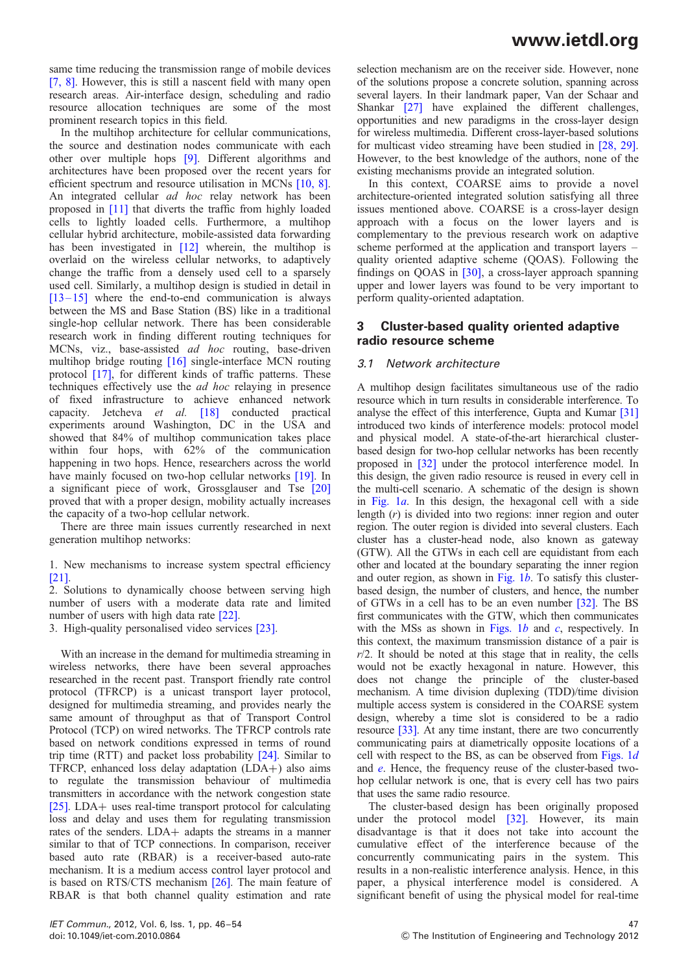same time reducing the transmission range of mobile devices [7, 8]. However, this is still a nascent field with many open research areas. Air-interface design, scheduling and radio resource allocation techniques are some of the most prominent research topics in this field.

In the multihop architecture for cellular communications, the source and destination nodes communicate with each other over multiple hops [9]. Different algorithms and architectures have been proposed over the recent years for efficient spectrum and resource utilisation in MCNs [10, 8]. An integrated cellular ad hoc relay network has been proposed in [11] that diverts the traffic from highly loaded cells to lightly loaded cells. Furthermore, a multihop cellular hybrid architecture, mobile-assisted data forwarding has been investigated in [12] wherein, the multihop is overlaid on the wireless cellular networks, to adaptively change the traffic from a densely used cell to a sparsely used cell. Similarly, a multihop design is studied in detail in  $[13 - 15]$  where the end-to-end communication is always between the MS and Base Station (BS) like in a traditional single-hop cellular network. There has been considerable research work in finding different routing techniques for MCNs, viz., base-assisted ad hoc routing, base-driven multihop bridge routing [16] single-interface MCN routing protocol [17], for different kinds of traffic patterns. These techniques effectively use the ad hoc relaying in presence of fixed infrastructure to achieve enhanced network capacity. Jetcheva et al. [18] conducted practical experiments around Washington, DC in the USA and showed that 84% of multihop communication takes place within four hops, with 62% of the communication happening in two hops. Hence, researchers across the world have mainly focused on two-hop cellular networks [19]. In a significant piece of work, Grossglauser and Tse [20] proved that with a proper design, mobility actually increases the capacity of a two-hop cellular network.

There are three main issues currently researched in next generation multihop networks:

1. New mechanisms to increase system spectral efficiency [21].

2. Solutions to dynamically choose between serving high number of users with a moderate data rate and limited number of users with high data rate [22].

3. High-quality personalised video services [23].

With an increase in the demand for multimedia streaming in wireless networks, there have been several approaches researched in the recent past. Transport friendly rate control protocol (TFRCP) is a unicast transport layer protocol, designed for multimedia streaming, and provides nearly the same amount of throughput as that of Transport Control Protocol (TCP) on wired networks. The TFRCP controls rate based on network conditions expressed in terms of round trip time (RTT) and packet loss probability [24]. Similar to TFRCP, enhanced loss delay adaptation (LDA+) also aims to regulate the transmission behaviour of multimedia transmitters in accordance with the network congestion state [25]. LDA+ uses real-time transport protocol for calculating loss and delay and uses them for regulating transmission rates of the senders. LDA+ adapts the streams in a manner similar to that of TCP connections. In comparison, receiver based auto rate (RBAR) is a receiver-based auto-rate mechanism. It is a medium access control layer protocol and is based on RTS/CTS mechanism [26]. The main feature of RBAR is that both channel quality estimation and rate

selection mechanism are on the receiver side. However, none of the solutions propose a concrete solution, spanning across several layers. In their landmark paper, Van der Schaar and Shankar [27] have explained the different challenges, opportunities and new paradigms in the cross-layer design for wireless multimedia. Different cross-layer-based solutions for multicast video streaming have been studied in [28, 29]. However, to the best knowledge of the authors, none of the existing mechanisms provide an integrated solution.

In this context, COARSE aims to provide a novel architecture-oriented integrated solution satisfying all three issues mentioned above. COARSE is a cross-layer design approach with a focus on the lower layers and is complementary to the previous research work on adaptive scheme performed at the application and transport layers – quality oriented adaptive scheme (QOAS). Following the findings on QOAS in [30], a cross-layer approach spanning upper and lower layers was found to be very important to perform quality-oriented adaptation.

### 3 Cluster-based quality oriented adaptive radio resource scheme

#### 3.1 Network architecture

A multihop design facilitates simultaneous use of the radio resource which in turn results in considerable interference. To analyse the effect of this interference, Gupta and Kumar [31] introduced two kinds of interference models: protocol model and physical model. A state-of-the-art hierarchical clusterbased design for two-hop cellular networks has been recently proposed in [32] under the protocol interference model. In this design, the given radio resource is reused in every cell in the multi-cell scenario. A schematic of the design is shown in Fig.  $1a$ . In this design, the hexagonal cell with a side length  $(r)$  is divided into two regions: inner region and outer region. The outer region is divided into several clusters. Each cluster has a cluster-head node, also known as gateway (GTW). All the GTWs in each cell are equidistant from each other and located at the boundary separating the inner region and outer region, as shown in Fig.  $1b$ . To satisfy this clusterbased design, the number of clusters, and hence, the number of GTWs in a cell has to be an even number [32]. The BS first communicates with the GTW, which then communicates with the MSs as shown in Figs. 1b and  $c$ , respectively. In this context, the maximum transmission distance of a pair is  $r/2$ . It should be noted at this stage that in reality, the cells would not be exactly hexagonal in nature. However, this does not change the principle of the cluster-based mechanism. A time division duplexing (TDD)/time division multiple access system is considered in the COARSE system design, whereby a time slot is considered to be a radio resource [33]. At any time instant, there are two concurrently communicating pairs at diametrically opposite locations of a cell with respect to the BS, as can be observed from Figs.  $1d$ and e. Hence, the frequency reuse of the cluster-based twohop cellular network is one, that is every cell has two pairs that uses the same radio resource.

The cluster-based design has been originally proposed under the protocol model [32]. However, its main disadvantage is that it does not take into account the cumulative effect of the interference because of the concurrently communicating pairs in the system. This results in a non-realistic interference analysis. Hence, in this paper, a physical interference model is considered. A significant benefit of using the physical model for real-time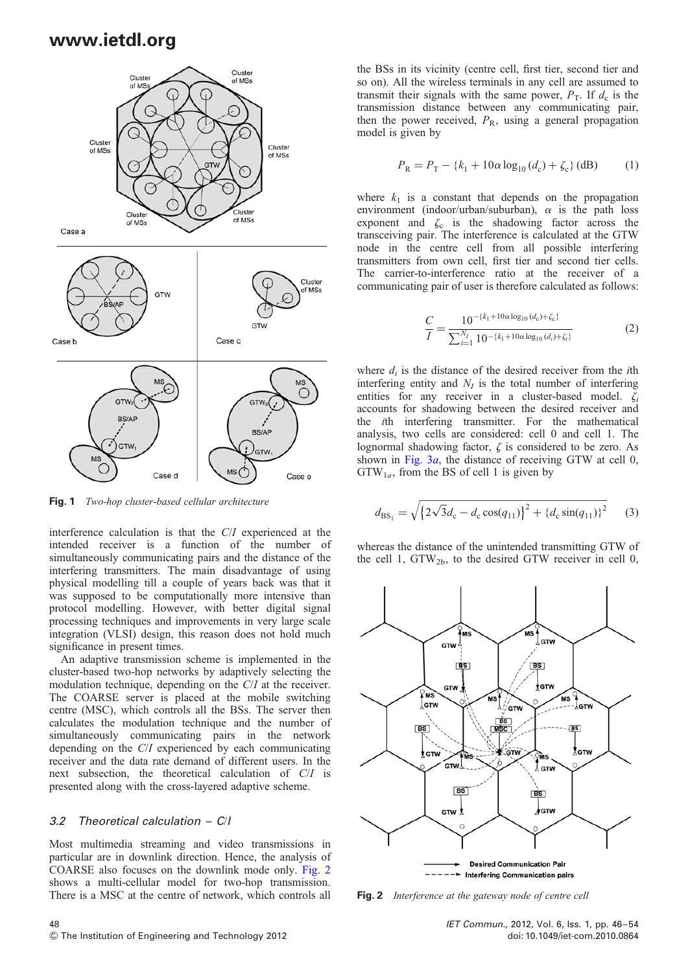

Fig. 1 Two-hop cluster-based cellular architecture

interference calculation is that the C/I experienced at the intended receiver is a function of the number of simultaneously communicating pairs and the distance of the interfering transmitters. The main disadvantage of using physical modelling till a couple of years back was that it was supposed to be computationally more intensive than protocol modelling. However, with better digital signal processing techniques and improvements in very large scale integration (VLSI) design, this reason does not hold much significance in present times.

An adaptive transmission scheme is implemented in the cluster-based two-hop networks by adaptively selecting the modulation technique, depending on the C/I at the receiver. The COARSE server is placed at the mobile switching centre (MSC), which controls all the BSs. The server then calculates the modulation technique and the number of simultaneously communicating pairs in the network depending on the C/I experienced by each communicating receiver and the data rate demand of different users. In the next subsection, the theoretical calculation of C/I is presented along with the cross-layered adaptive scheme.

#### 3.2 Theoretical calculation – C/I

Most multimedia streaming and video transmissions in particular are in downlink direction. Hence, the analysis of COARSE also focuses on the downlink mode only. Fig. 2 shows a multi-cellular model for two-hop transmission. There is a MSC at the centre of network, which controls all

the BSs in its vicinity (centre cell, first tier, second tier and so on). All the wireless terminals in any cell are assumed to transmit their signals with the same power,  $P_T$ . If  $d_c$  is the transmission distance between any communicating pair, then the power received,  $P_R$ , using a general propagation model is given by

$$
P_{\rm R} = P_{\rm T} - \{k_1 + 10\alpha \log_{10} (d_{\rm c}) + \zeta_{\rm c}\} \, \text{(dB)} \tag{1}
$$

where  $k_1$  is a constant that depends on the propagation environment (indoor/urban/suburban),  $\alpha$  is the path loss exponent and  $\zeta_c$  is the shadowing factor across the transceiving pair. The interference is calculated at the GTW node in the centre cell from all possible interfering transmitters from own cell, first tier and second tier cells. The carrier-to-interference ratio at the receiver of a communicating pair of user is therefore calculated as follows:

$$
\frac{C}{I} = \frac{10^{-\{k_1 + 10\alpha \log_{10}(d_c) + \zeta_c\}}}{\sum_{i=1}^{N_I} 10^{-\{k_1 + 10\alpha \log_{10}(d_i) + \zeta_i\}}}
$$
(2)

where  $d_i$  is the distance of the desired receiver from the *i*th interfering entity and  $N_I$  is the total number of interfering entities for any receiver in a cluster-based model.  $\zeta_i$ accounts for shadowing between the desired receiver and the ith interfering transmitter. For the mathematical analysis, two cells are considered: cell 0 and cell 1. The lognormal shadowing factor,  $\zeta$  is considered to be zero. As shown in Fig.  $3a$ , the distance of receiving GTW at cell 0,  $GTW_{1a}$ , from the BS of cell 1 is given by

$$
d_{\text{BS}_1} = \sqrt{\left\{2\sqrt{3}d_c - d_c\cos(q_{11})\right\}^2 + \left\{d_c\sin(q_{11})\right\}^2} \tag{3}
$$

whereas the distance of the unintended transmitting GTW of the cell 1,  $GTW_{2b}$ , to the desired  $GTW$  receiver in cell 0,



Fig. 2 Interference at the gateway node of centre cell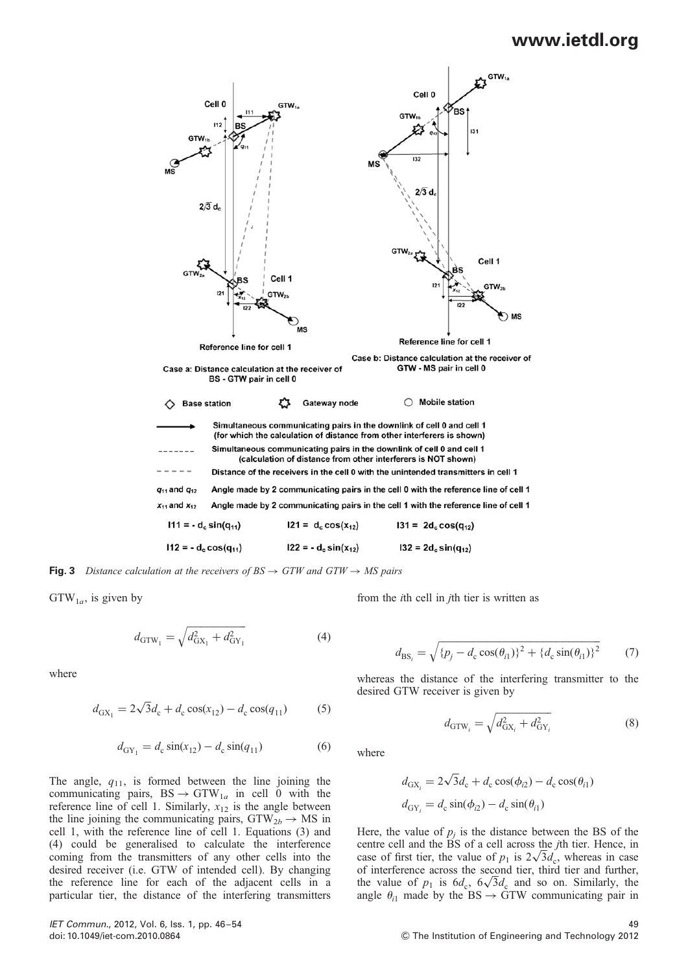

**Fig. 3** Distance calculation at the receivers of  $BS \rightarrow GTW$  and  $GTW \rightarrow MS$  pairs

 $GTW_{1a}$ , is given by

$$
d_{\text{GTW}_1} = \sqrt{d_{\text{GX}_1}^2 + d_{\text{GY}_1}^2} \tag{4}
$$

where

$$
d_{\text{GX}_1} = 2\sqrt{3}d_c + d_c \cos(x_{12}) - d_c \cos(q_{11}) \tag{5}
$$

$$
d_{\text{GY}_1} = d_{\text{c}} \sin(x_{12}) - d_{\text{c}} \sin(q_{11}) \tag{6}
$$

The angle,  $q_{11}$ , is formed between the line joining the communicating pairs,  $BS \rightarrow GTW_{1a}$  in cell 0 with the reference line of cell 1. Similarly,  $x_{12}$  is the angle between the line joining the communicating pairs,  $GTW_{2b} \rightarrow MS$  in cell 1, with the reference line of cell 1. Equations (3) and (4) could be generalised to calculate the interference coming from the transmitters of any other cells into the desired receiver (i.e. GTW of intended cell). By changing the reference line for each of the adjacent cells in a particular tier, the distance of the interfering transmitters from the ith cell in jth tier is written as

$$
d_{\text{BS}_i} = \sqrt{\{p_j - d_c \cos(\theta_{i1})\}^2 + \{d_c \sin(\theta_{i1})\}^2}
$$
(7)

whereas the distance of the interfering transmitter to the desired GTW receiver is given by

$$
d_{\text{GTW}_i} = \sqrt{d_{\text{GX}_i}^2 + d_{\text{GY}_i}^2}
$$
 (8)

where

$$
d_{\text{GX}_i} = 2\sqrt{3}d_{\text{c}} + d_{\text{c}}\cos(\phi_{i2}) - d_{\text{c}}\cos(\theta_{i1})
$$

$$
d_{\text{GY}_i} = d_{\text{c}}\sin(\phi_{i2}) - d_{\text{c}}\sin(\theta_{i1})
$$

Here, the value of  $p_i$  is the distance between the BS of the centre cell and the BS of a cell across the jth tier. Hence, in case of first tier, the value of  $p_1$  is  $2\sqrt{3}d_c$ , whereas in case of interference across the second tier, third tier and further, the value of  $p_1$  is  $6d_c$ ,  $6\sqrt{3}d_c$  and so on. Similarly, the angle  $\theta_{i1}$  made by the BS  $\rightarrow$  GTW communicating pair in

IET Commun., 2012, Vol. 6, Iss. 1, pp. 46 –54 49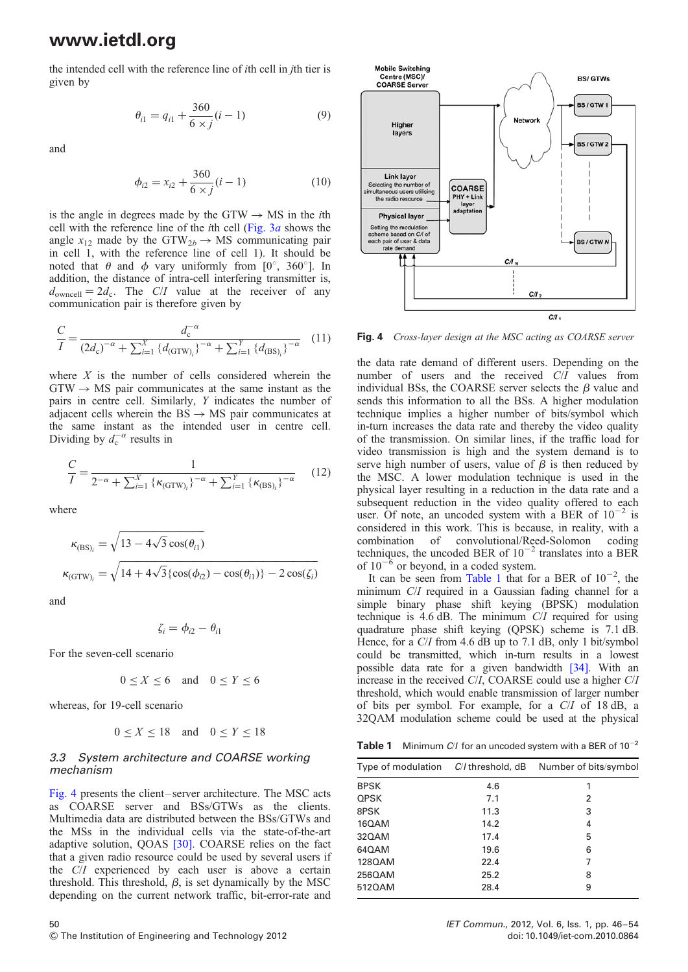the intended cell with the reference line of ith cell in jth tier is given by

$$
\theta_{i1} = q_{i1} + \frac{360}{6 \times j} (i - 1) \tag{9}
$$

and

$$
\phi_{i2} = x_{i2} + \frac{360}{6 \times j}(i - 1) \tag{10}
$$

is the angle in degrees made by the GTW  $\rightarrow$  MS in the *i*th cell with the reference line of the *i*th cell (Fig.  $3a$  shows the angle  $x_{12}$  made by the GTW<sub>2b</sub>  $\rightarrow$  MS communicating pair in cell 1, with the reference line of cell 1). It should be noted that  $\theta$  and  $\phi$  vary uniformly from [0°, 360°]. In addition, the distance of intra-cell interfering transmitter is,  $d_{\text{owncell}} = 2d_c$ . The C/I value at the receiver of any communication pair is therefore given by

$$
\frac{C}{I} = \frac{d_{c}^{-\alpha}}{(2d_{c})^{-\alpha} + \sum_{i=1}^{X} \{d_{(GTW)_{i}}\}^{-\alpha} + \sum_{i=1}^{Y} \{d_{(BS)_{i}}\}^{-\alpha}} (11)
$$

where  $X$  is the number of cells considered wherein the  $GTW \rightarrow MS$  pair communicates at the same instant as the pairs in centre cell. Similarly, Y indicates the number of adjacent cells wherein the  $BS \rightarrow MS$  pair communicates at the same instant as the intended user in centre cell. Dividing by  $d_c^{-\alpha}$  results in

$$
\frac{C}{I} = \frac{1}{2^{-\alpha} + \sum_{i=1}^{X} \{ \kappa_{\text{(GTW)}_i} \}^{-\alpha} + \sum_{i=1}^{Y} \{ \kappa_{\text{(BS)}_i} \}^{-\alpha}} \qquad (12)
$$

where

$$
\kappa_{\text{(BS)}_i} = \sqrt{13 - 4\sqrt{3}\cos(\theta_{i1})}
$$

$$
\kappa_{\text{(GTW)}_i} = \sqrt{14 + 4\sqrt{3}\{\cos(\phi_{i2}) - \cos(\theta_{i1})\} - 2\cos(\zeta_i)}
$$

and

$$
\zeta_i = \phi_{i2} - \theta_{i1}
$$

For the seven-cell scenario

$$
0 \le X \le 6 \quad \text{and} \quad 0 \le Y \le 6
$$

whereas, for 19-cell scenario

$$
0 \le X \le 18 \quad \text{and} \quad 0 \le Y \le 18
$$

#### 3.3 System architecture and COARSE working mechanism

Fig. 4 presents the client – server architecture. The MSC acts as COARSE server and BSs/GTWs as the clients. Multimedia data are distributed between the BSs/GTWs and the MSs in the individual cells via the state-of-the-art adaptive solution, QOAS [30]. COARSE relies on the fact that a given radio resource could be used by several users if the C/I experienced by each user is above a certain threshold. This threshold,  $\beta$ , is set dynamically by the MSC depending on the current network traffic, bit-error-rate and



Fig. 4 Cross-layer design at the MSC acting as COARSE server

the data rate demand of different users. Depending on the number of users and the received C/I values from individual BSs, the COARSE server selects the  $\beta$  value and sends this information to all the BSs. A higher modulation technique implies a higher number of bits/symbol which in-turn increases the data rate and thereby the video quality of the transmission. On similar lines, if the traffic load for video transmission is high and the system demand is to serve high number of users, value of  $\beta$  is then reduced by the MSC. A lower modulation technique is used in the physical layer resulting in a reduction in the data rate and a subsequent reduction in the video quality offered to each user. Of note, an uncoded system with a BER of  $10^{-2}$  is considered in this work. This is because, in reality, with a combination of convolutional/Reed-Solomon coding techniques, the uncoded BER of  $10^{-2}$  translates into a BER of  $10^{-6}$  or beyond, in a coded system.

It can be seen from Table 1 that for a BER of  $10^{-2}$ , the minimum C/I required in a Gaussian fading channel for a simple binary phase shift keying (BPSK) modulation technique is 4.6 dB. The minimum C/I required for using quadrature phase shift keying (QPSK) scheme is 7.1 dB. Hence, for a C/I from 4.6 dB up to 7.1 dB, only 1 bit/symbol could be transmitted, which in-turn results in a lowest possible data rate for a given bandwidth [34]. With an increase in the received C/I, COARSE could use a higher C/I threshold, which would enable transmission of larger number of bits per symbol. For example, for a C/I of 18 dB, a 32QAM modulation scheme could be used at the physical

**Table 1** Minimum C/I for an uncoded system with a BER of  $10^{-2}$ 

| <b>BPSK</b><br>4.6<br>1<br><b>QPSK</b><br>7.1<br>2 | Number of bits/symbol |
|----------------------------------------------------|-----------------------|
|                                                    |                       |
|                                                    |                       |
| 8PSK<br>11.3<br>3                                  |                       |
| 16QAM<br>14.2<br>4                                 |                       |
| 32QAM<br>17.4<br>5                                 |                       |
| 640AM<br>19.6<br>6                                 |                       |
| 128QAM<br>22.4<br>7                                |                       |
| 256QAM<br>25.2<br>8                                |                       |
| 5120AM<br>28.4<br>9                                |                       |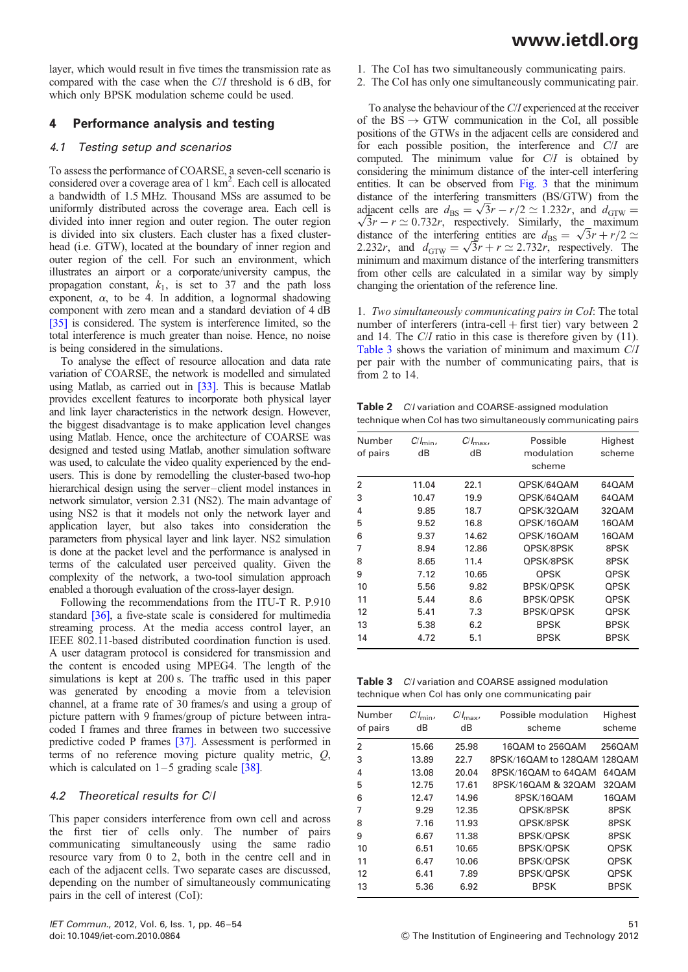layer, which would result in five times the transmission rate as compared with the case when the C/I threshold is 6 dB, for which only BPSK modulation scheme could be used.

### 4 Performance analysis and testing

### 4.1 Testing setup and scenarios

To assess the performance of COARSE, a seven-cell scenario is considered over a coverage area of 1 km<sup>2</sup>. Each cell is allocated a bandwidth of 1.5 MHz. Thousand MSs are assumed to be uniformly distributed across the coverage area. Each cell is divided into inner region and outer region. The outer region is divided into six clusters. Each cluster has a fixed clusterhead (i.e. GTW), located at the boundary of inner region and outer region of the cell. For such an environment, which illustrates an airport or a corporate/university campus, the propagation constant,  $k_1$ , is set to 37 and the path loss exponent,  $\alpha$ , to be 4. In addition, a lognormal shadowing component with zero mean and a standard deviation of 4 dB [35] is considered. The system is interference limited, so the total interference is much greater than noise. Hence, no noise is being considered in the simulations.

To analyse the effect of resource allocation and data rate variation of COARSE, the network is modelled and simulated using Matlab, as carried out in [33]. This is because Matlab provides excellent features to incorporate both physical layer and link layer characteristics in the network design. However, the biggest disadvantage is to make application level changes using Matlab. Hence, once the architecture of COARSE was designed and tested using Matlab, another simulation software was used, to calculate the video quality experienced by the endusers. This is done by remodelling the cluster-based two-hop hierarchical design using the server-client model instances in network simulator, version 2.31 (NS2). The main advantage of using NS2 is that it models not only the network layer and application layer, but also takes into consideration the parameters from physical layer and link layer. NS2 simulation is done at the packet level and the performance is analysed in terms of the calculated user perceived quality. Given the complexity of the network, a two-tool simulation approach enabled a thorough evaluation of the cross-layer design.

Following the recommendations from the ITU-T R. P.910 standard [36], a five-state scale is considered for multimedia streaming process. At the media access control layer, an IEEE 802.11-based distributed coordination function is used. A user datagram protocol is considered for transmission and the content is encoded using MPEG4. The length of the simulations is kept at 200 s. The traffic used in this paper was generated by encoding a movie from a television channel, at a frame rate of 30 frames/s and using a group of picture pattern with 9 frames/group of picture between intracoded I frames and three frames in between two successive predictive coded P frames [37]. Assessment is performed in terms of no reference moving picture quality metric, Q, which is calculated on  $1-5$  grading scale [38].

### 4.2 Theoretical results for C/I

This paper considers interference from own cell and across the first tier of cells only. The number of pairs communicating simultaneously using the same radio resource vary from 0 to 2, both in the centre cell and in each of the adjacent cells. Two separate cases are discussed, depending on the number of simultaneously communicating pairs in the cell of interest (CoI):

- 1. The CoI has two simultaneously communicating pairs.
- 2. The CoI has only one simultaneously communicating pair.

To analyse the behaviour of the C/I experienced at the receiver of the  $BS \rightarrow GTW$  communication in the CoI, all possible positions of the GTWs in the adjacent cells are considered and for each possible position, the interference and C/I are computed. The minimum value for C/I is obtained by considering the minimum distance of the inter-cell interfering entities. It can be observed from Fig. 3 that the minimum distance of the interfering transmitters (BS/GTW) from the adjacent cells are  $d_{\text{BS}} = \sqrt{3}r - r/2 \approx 1.232r$ , and  $d_{\text{GTW}} = \sqrt{3}r - r \approx 0.732r$ , respectively. Similarly, the maximum  $\sqrt{3}r - r \simeq 0.732r$ , respectively. Similarly, the maximum distance of the interfering entities are  $d_{\text{BS}} = \sqrt{3}r + r/2 \approx$ 2.232r, and  $d_{\text{GTW}} = \sqrt{3}r + r \approx 2.732r$ , respectively. The minimum and maximum distance of the interfering transmitters from other cells are calculated in a similar way by simply changing the orientation of the reference line.

1. Two simultaneously communicating pairs in CoI: The total number of interferers (intra-cell  $+$  first tier) vary between 2 and 14. The C/I ratio in this case is therefore given by (11). Table 3 shows the variation of minimum and maximum C/I per pair with the number of communicating pairs, that is from 2 to 14.

Table 2 C/I variation and COARSE-assigned modulation technique when CoI has two simultaneously communicating pairs

| Number         | $C/I_{\text{min}}$ | $C/I_{\text{max}}$ | Possible         | Highest     |
|----------------|--------------------|--------------------|------------------|-------------|
| of pairs       | dB                 | dB                 | modulation       | scheme      |
|                |                    |                    | scheme           |             |
| $\mathfrak{p}$ | 11.04              | 22.1               | OPSK/64OAM       | 640AM       |
| 3              | 10.47              | 19.9               | QPSK/64QAM       | 640AM       |
| 4              | 9.85               | 18.7               | QPSK/32QAM       | 320AM       |
| 5              | 9.52               | 16.8               | QPSK/16QAM       | 160AM       |
| 6              | 9.37               | 14.62              | OPSK/16OAM       | 160AM       |
| 7              | 8.94               | 12.86              | QPSK/8PSK        | 8PSK        |
| 8              | 8.65               | 11.4               | QPSK/8PSK        | 8PSK        |
| 9              | 7.12               | 10.65              | <b>OPSK</b>      | <b>OPSK</b> |
| 10             | 5.56               | 9.82               | <b>BPSK/QPSK</b> | <b>OPSK</b> |
| 11             | 5.44               | 8.6                | <b>BPSK/OPSK</b> | <b>OPSK</b> |
| 12             | 5.41               | 7.3                | <b>BPSK/OPSK</b> | <b>OPSK</b> |
| 13             | 5.38               | 6.2                | <b>BPSK</b>      | <b>BPSK</b> |
| 14             | 4.72               | 5.1                | <b>BPSK</b>      | <b>BPSK</b> |

Table 3 C/I variation and COARSE assigned modulation technique when CoI has only one communicating pair

| Number<br>of pairs | $C/I_{\text{min}}$<br>dB | $C/I_{\text{max}}$<br>dВ | Possible modulation<br>scheme | Highest<br>scheme |
|--------------------|--------------------------|--------------------------|-------------------------------|-------------------|
| 2                  | 15.66                    | 25.98                    | 160AM to 2560AM               | 2560AM            |
| 3                  | 13.89                    | 22.7                     | 8PSK/16QAM to 128QAM          | 1280AM            |
| 4                  | 13.08                    | 20.04                    | 8PSK/16QAM to 64QAM           | 640AM             |
| 5                  | 12.75                    | 17.61                    | 8PSK/16QAM & 32QAM            | 320AM             |
| 6                  | 12.47                    | 14.96                    | 8PSK/16QAM                    | 160AM             |
| 7                  | 9.29                     | 12.35                    | OPSK/8PSK                     | 8PSK              |
| 8                  | 7.16                     | 11.93                    | OPSK/8PSK                     | 8PSK              |
| 9                  | 6.67                     | 11.38                    | <b>BPSK/OPSK</b>              | 8PSK              |
| 10                 | 6.51                     | 10.65                    | <b>BPSK/OPSK</b>              | <b>QPSK</b>       |
| 11                 | 6.47                     | 10.06                    | <b>BPSK/OPSK</b>              | <b>QPSK</b>       |
| 12                 | 6.41                     | 7.89                     | <b>BPSK/OPSK</b>              | <b>QPSK</b>       |
| 13                 | 5.36                     | 6.92                     | <b>BPSK</b>                   | <b>BPSK</b>       |
|                    |                          |                          |                               |                   |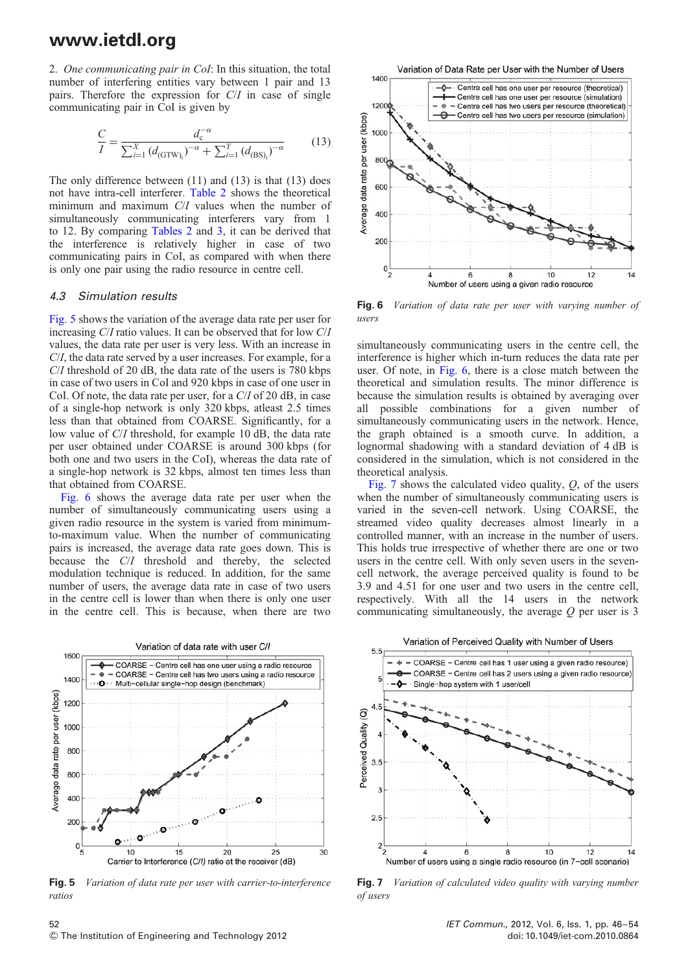2. One communicating pair in CoI: In this situation, the total number of interfering entities vary between 1 pair and 13 pairs. Therefore the expression for C/I in case of single communicating pair in CoI is given by

$$
\frac{C}{I} = \frac{d_{c}^{-\alpha}}{\sum_{i=1}^{X} (d_{(\text{GTW})_{i}})^{-\alpha} + \sum_{i=1}^{Y} (d_{(\text{BS})_{i}})^{-\alpha}}
$$
(13)

The only difference between  $(11)$  and  $(13)$  is that  $(13)$  does not have intra-cell interferer. Table 2 shows the theoretical minimum and maximum C/I values when the number of simultaneously communicating interferers vary from 1 to 12. By comparing Tables 2 and 3, it can be derived that the interference is relatively higher in case of two communicating pairs in CoI, as compared with when there is only one pair using the radio resource in centre cell.

#### 4.3 Simulation results

Fig. 5 shows the variation of the average data rate per user for increasing C/I ratio values. It can be observed that for low C/I values, the data rate per user is very less. With an increase in C/I, the data rate served by a user increases. For example, for a C/I threshold of 20 dB, the data rate of the users is 780 kbps in case of two users in CoI and 920 kbps in case of one user in CoI. Of note, the data rate per user, for a C/I of 20 dB, in case of a single-hop network is only 320 kbps, atleast 2.5 times less than that obtained from COARSE. Significantly, for a low value of C/I threshold, for example 10 dB, the data rate per user obtained under COARSE is around 300 kbps (for both one and two users in the CoI), whereas the data rate of a single-hop network is 32 kbps, almost ten times less than that obtained from COARSE.

Fig. 6 shows the average data rate per user when the number of simultaneously communicating users using a given radio resource in the system is varied from minimumto-maximum value. When the number of communicating pairs is increased, the average data rate goes down. This is because the C/I threshold and thereby, the selected modulation technique is reduced. In addition, for the same number of users, the average data rate in case of two users in the centre cell is lower than when there is only one user in the centre cell. This is because, when there are two



Fig. 5 Variation of data rate per user with carrier-to-interference ratios



Fig. 6 Variation of data rate per user with varying number of users

simultaneously communicating users in the centre cell, the interference is higher which in-turn reduces the data rate per user. Of note, in Fig. 6, there is a close match between the theoretical and simulation results. The minor difference is because the simulation results is obtained by averaging over all possible combinations for a given number of simultaneously communicating users in the network. Hence, the graph obtained is a smooth curve. In addition, a lognormal shadowing with a standard deviation of 4 dB is considered in the simulation, which is not considered in the theoretical analysis.

Fig. 7 shows the calculated video quality,  $Q$ , of the users when the number of simultaneously communicating users is varied in the seven-cell network. Using COARSE, the streamed video quality decreases almost linearly in a controlled manner, with an increase in the number of users. This holds true irrespective of whether there are one or two users in the centre cell. With only seven users in the sevencell network, the average perceived quality is found to be 3.9 and 4.51 for one user and two users in the centre cell, respectively. With all the 14 users in the network communicating simultaneously, the average  $Q$  per user is 3



Fig. 7 Variation of calculated video quality with varying number of users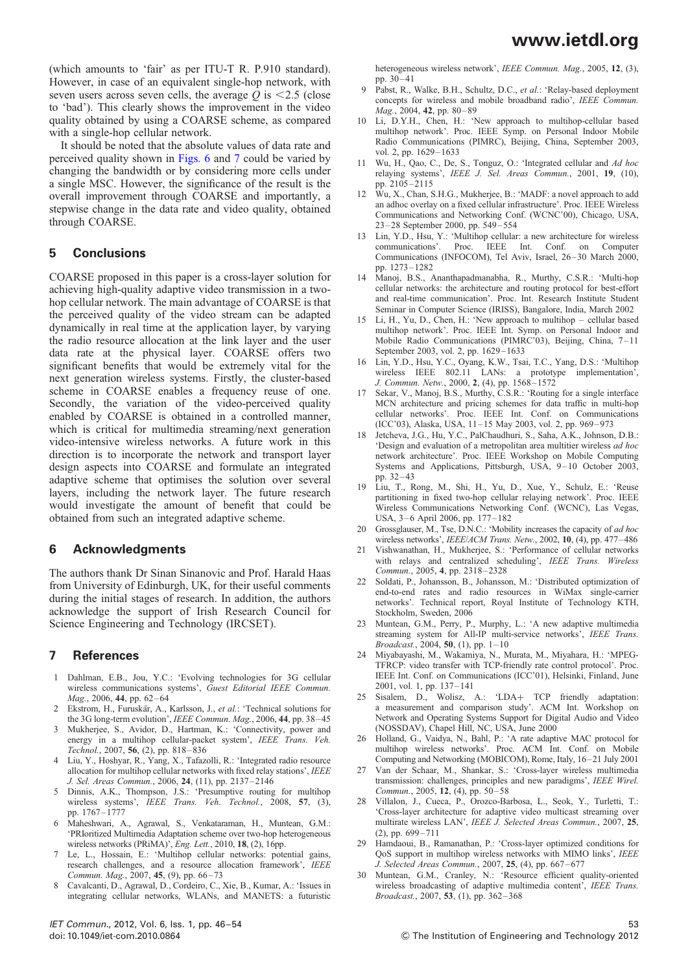(which amounts to 'fair' as per ITU-T R. P.910 standard). However, in case of an equivalent single-hop network, with seven users across seven cells, the average  $Q$  is  $\leq$  2.5 (close to 'bad'). This clearly shows the improvement in the video quality obtained by using a COARSE scheme, as compared with a single-hop cellular network.

It should be noted that the absolute values of data rate and perceived quality shown in Figs. 6 and 7 could be varied by changing the bandwidth or by considering more cells under a single MSC. However, the significance of the result is the overall improvement through COARSE and importantly, a stepwise change in the data rate and video quality, obtained through COARSE.

### 5 Conclusions

COARSE proposed in this paper is a cross-layer solution for achieving high-quality adaptive video transmission in a twohop cellular network. The main advantage of COARSE is that the perceived quality of the video stream can be adapted dynamically in real time at the application layer, by varying the radio resource allocation at the link layer and the user data rate at the physical layer. COARSE offers two significant benefits that would be extremely vital for the next generation wireless systems. Firstly, the cluster-based scheme in COARSE enables a frequency reuse of one. Secondly, the variation of the video-perceived quality enabled by COARSE is obtained in a controlled manner, which is critical for multimedia streaming/next generation video-intensive wireless networks. A future work in this direction is to incorporate the network and transport layer design aspects into COARSE and formulate an integrated adaptive scheme that optimises the solution over several layers, including the network layer. The future research would investigate the amount of benefit that could be obtained from such an integrated adaptive scheme.

### 6 Acknowledgments

The authors thank Dr Sinan Sinanovic and Prof. Harald Haas from University of Edinburgh, UK, for their useful comments during the initial stages of research. In addition, the authors acknowledge the support of Irish Research Council for Science Engineering and Technology (IRCSET).

### 7 References

- 1 Dahlman, E.B., Jou, Y.C.: 'Evolving technologies for 3G cellular wireless communications systems', Guest Editorial IEEE Commun. Mag., 2006, 44, pp. 62–64
- 2 Ekstrom, H., Furuskär, A., Karlsson, J., et al.: 'Technical solutions for the 3G long-term evolution', IEEE Commun. Mag., 2006, 44, pp. 38–45
- 3 Mukherjee, S., Avidor, D., Hartman, K.: 'Connectivity, power and energy in a multihop cellular-packet system', IEEE Trans. Veh. Technol., 2007, 56, (2), pp. 818–836
- 4 Liu, Y., Hoshyar, R., Yang, X., Tafazolli, R.: 'Integrated radio resource allocation for multihop cellular networks with fixed relay stations', IEEE J. Sel. Areas Commun., 2006, 24, (11), pp. 2137– 2146
- 5 Dinnis, A.K., Thompson, J.S.: 'Presumptive routing for multihop wireless systems', IEEE Trans. Veh. Technol., 2008, 57, (3), pp. 1767– 1777
- 6 Maheshwari, A., Agrawal, S., Venkataraman, H., Muntean, G.M.: 'PRIoritized Multimedia Adaptation scheme over two-hop heterogeneous wireless networks (PRiMA)', Eng. Lett., 2010, 18, (2), 16pp.
- 7 Le, L., Hossain, E.: 'Multihop cellular networks: potential gains, research challenges, and a resource allocation framework', IEEE Commun. Mag., 2007, 45, (9), pp. 66–73
- 8 Cavalcanti, D., Agrawal, D., Cordeiro, C., Xie, B., Kumar, A.: 'Issues in integrating cellular networks, WLANs, and MANETS: a futuristic

heterogeneous wireless network', IEEE Commun. Mag., 2005, 12, (3), pp. 30–41

- 9 Pabst, R., Walke, B.H., Schultz, D.C., et al.: 'Relay-based deployment concepts for wireless and mobile broadband radio', IEEE Commun. Mag., 2004, 42, pp. 80-89
- 10 Li, D.Y.H., Chen, H.: 'New approach to multihop-cellular based multihop network'. Proc. IEEE Symp. on Personal Indoor Mobile Radio Communications (PIMRC), Beijing, China, September 2003, vol. 2, pp. 1629–1633
- 11 Wu, H., Qao, C., De, S., Tonguz, O.: 'Integrated cellular and Ad hoc relaying systems', IEEE J. Sel. Areas Commun., 2001, 19, (10), pp. 2105– 2115
- 12 Wu, X., Chan, S.H.G., Mukherjee, B.: 'MADF: a novel approach to add an adhoc overlay on a fixed cellular infrastructure'. Proc. IEEE Wireless Communications and Networking Conf. (WCNC'00), Chicago, USA, 23– 28 September 2000, pp. 549 –554
- 13 Lin, Y.D., Hsu, Y.: 'Multihop cellular: a new architecture for wireless communications'. Proc. IEEE Int. Conf. on Computer Proc. IEEE Int. Conf. on Computer Communications (INFOCOM), Tel Aviv, Israel, 26-30 March 2000, pp. 1273– 1282
- 14 Manoj, B.S., Ananthapadmanabha, R., Murthy, C.S.R.: 'Multi-hop cellular networks: the architecture and routing protocol for best-effort and real-time communication'. Proc. Int. Research Institute Student Seminar in Computer Science (IRISS), Bangalore, India, March 2002
- 15 Li, H., Yu, D., Chen, H.: 'New approach to multihop cellular based multihop network'. Proc. IEEE Int. Symp. on Personal Indoor and Mobile Radio Communications (PIMRC'03), Beijing, China, 7-11 September 2003, vol. 2, pp. 1629–1633
- 16 Lin, Y.D., Hsu, Y.C., Oyang, K.W., Tsai, T.C., Yang, D.S.: 'Multihop wireless IEEE 802.11 LANs: a prototype implementation', J. Commun. Netw., 2000, 2, (4), pp. 1568–1572
- 17 Sekar, V., Manoj, B.S., Murthy, C.S.R.: 'Routing for a single interface MCN architecture and pricing schemes for data traffic in multi-hop cellular networks'. Proc. IEEE Int. Conf. on Communications (ICC'03), Alaska, USA, 11–15 May 2003, vol. 2, pp. 969–973
- Jetcheva, J.G., Hu, Y.C., PalChaudhuri, S., Saha, A.K., Johnson, D.B.: 'Design and evaluation of a metropolitan area multitier wireless ad hoc network architecture'. Proc. IEEE Workshop on Mobile Computing Systems and Applications, Pittsburgh, USA, 9-10 October 2003, pp. 32–43
- 19 Liu, T., Rong, M., Shi, H., Yu, D., Xue, Y., Schulz, E.: 'Reuse partitioning in fixed two-hop cellular relaying network'. Proc. IEEE Wireless Communications Networking Conf. (WCNC), Las Vegas, USA, 3 –6 April 2006, pp. 177–182
- 20 Grossglauser, M., Tse, D.N.C.: 'Mobility increases the capacity of *ad hoc* wireless networks', IEEE/ACM Trans. Netw., 2002, 10, (4), pp. 477-486
- 21 Vishwanathan, H., Mukherjee, S.: 'Performance of cellular networks with relays and centralized scheduling', IEEE Trans. Wireless Commun., 2005, 4, pp. 2318–2328
- 22 Soldati, P., Johansson, B., Johansson, M.: 'Distributed optimization of end-to-end rates and radio resources in WiMax single-carrier networks'. Technical report, Royal Institute of Technology KTH, Stockholm, Sweden, 2006
- 23 Muntean, G.M., Perry, P., Murphy, L.: 'A new adaptive multimedia streaming system for All-IP multi-service networks', IEEE Trans. Broadcast., 2004, 50, (1), pp.  $1-10$
- 24 Miyabayashi, M., Wakamiya, N., Murata, M., Miyahara, H.: 'MPEG-TFRCP: video transfer with TCP-friendly rate control protocol'. Proc. IEEE Int. Conf. on Communications (ICC'01), Helsinki, Finland, June 2001, vol. 1, pp. 137–141
- 25 Sisalem, D., Wolisz, A.: 'LDA+ TCP friendly adaptation: a measurement and comparison study'. ACM Int. Workshop on Network and Operating Systems Support for Digital Audio and Video (NOSSDAV), Chapel Hill, NC, USA, June 2000
- 26 Holland, G., Vaidya, N., Bahl, P.: 'A rate adaptive MAC protocol for multihop wireless networks'. Proc. ACM Int. Conf. on Mobile Computing and Networking (MOBICOM), Rome, Italy, 16–21 July 2001
- 27 Van der Schaar, M., Shankar, S.: 'Cross-layer wireless multimedia transmission: challenges, principles and new paradigms', IEEE Wirel. Commun., 2005, 12,  $(4)$ , pp. 50–58
- 28 Villalon, J., Cueca, P., Orozco-Barbosa, L., Seok, Y., Turletti, T.: 'Cross-layer architecture for adaptive video multicast streaming over multirate wireless LAN', IEEE J. Selected Areas Commun., 2007, 25,  $(2)$ , pp. 699-711
- 29 Hamdaoui, B., Ramanathan, P.: 'Cross-layer optimized conditions for QoS support in multihop wireless networks with MIMO links', IEEE J. Selected Areas Commun., 2007, 25, (4), pp. 667-677
- 30 Muntean, G.M., Cranley, N.: 'Resource efficient quality-oriented wireless broadcasting of adaptive multimedia content', IEEE Trans. Broadcast., 2007, 53, (1), pp. 362– 368